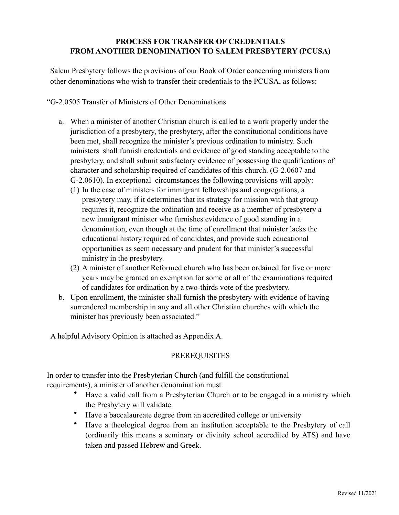#### **PROCESS FOR TRANSFER OF CREDENTIALS FROM ANOTHER DENOMINATION TO SALEM PRESBYTERY (PCUSA)**

Salem Presbytery follows the provisions of our Book of Order concerning ministers from other denominations who wish to transfer their credentials to the PCUSA, as follows:

"G-2.0505 Transfer of Ministers of Other Denominations

- a. When a minister of another Christian church is called to a work properly under the jurisdiction of a presbytery, the presbytery, after the constitutional conditions have been met, shall recognize the minister's previous ordination to ministry. Such ministers shall furnish credentials and evidence of good standing acceptable to the presbytery, and shall submit satisfactory evidence of possessing the qualifications of character and scholarship required of candidates of this church. (G-2.0607 and G-2.0610). In exceptional circumstances the following provisions will apply:
	- (1) In the case of ministers for immigrant fellowships and congregations, a presbytery may, if it determines that its strategy for mission with that group requires it, recognize the ordination and receive as a member of presbytery a new immigrant minister who furnishes evidence of good standing in a denomination, even though at the time of enrollment that minister lacks the educational history required of candidates, and provide such educational opportunities as seem necessary and prudent for that minister's successful ministry in the presbytery.
	- (2) A minister of another Reformed church who has been ordained for five or more years may be granted an exemption for some or all of the examinations required of candidates for ordination by a two-thirds vote of the presbytery.
- b. Upon enrollment, the minister shall furnish the presbytery with evidence of having surrendered membership in any and all other Christian churches with which the minister has previously been associated."

A helpful Advisory Opinion is attached as Appendix A.

### PREREQUISITES

In order to transfer into the Presbyterian Church (and fulfill the constitutional requirements), a minister of another denomination must

- Have a valid call from a Presbyterian Church or to be engaged in a ministry which the Presbytery will validate.
- Have a baccalaureate degree from an accredited college or university
- Have a theological degree from an institution acceptable to the Presbytery of call (ordinarily this means a seminary or divinity school accredited by ATS) and have taken and passed Hebrew and Greek.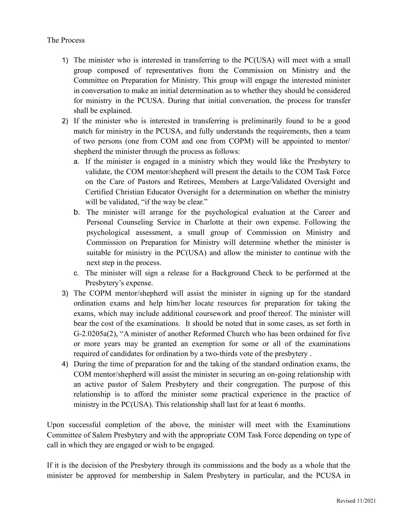- 1) The minister who is interested in transferring to the PC(USA) will meet with a small group composed of representatives from the Commission on Ministry and the Committee on Preparation for Ministry. This group will engage the interested minister in conversation to make an initial determination as to whether they should be considered for ministry in the PCUSA. During that initial conversation, the process for transfer shall be explained.
- 2) If the minister who is interested in transferring is preliminarily found to be a good match for ministry in the PCUSA, and fully understands the requirements, then a team of two persons (one from COM and one from COPM) will be appointed to mentor/ shepherd the minister through the process as follows:
	- a. If the minister is engaged in a ministry which they would like the Presbytery to validate, the COM mentor/shepherd will present the details to the COM Task Force on the Care of Pastors and Retirees, Members at Large/Validated Oversight and Certified Christian Educator Oversight for a determination on whether the ministry will be validated, "if the way be clear."
	- b. The minister will arrange for the psychological evaluation at the Career and Personal Counseling Service in Charlotte at their own expense. Following the psychological assessment, a small group of Commission on Ministry and Commission on Preparation for Ministry will determine whether the minister is suitable for ministry in the PC(USA) and allow the minister to continue with the next step in the process.
	- c. The minister will sign a release for a Background Check to be performed at the Presbytery's expense.
- 3) The COPM mentor/shepherd will assist the minister in signing up for the standard ordination exams and help him/her locate resources for preparation for taking the exams, which may include additional coursework and proof thereof. The minister will bear the cost of the examinations. It should be noted that in some cases, as set forth in G-2.0205a(2), "A minister of another Reformed Church who has been ordained for five or more years may be granted an exemption for some or all of the examinations required of candidates for ordination by a two-thirds vote of the presbytery .
- 4) During the time of preparation for and the taking of the standard ordination exams, the COM mentor/shepherd will assist the minister in securing an on-going relationship with an active pastor of Salem Presbytery and their congregation. The purpose of this relationship is to afford the minister some practical experience in the practice of ministry in the PC(USA). This relationship shall last for at least 6 months.

Upon successful completion of the above, the minister will meet with the Examinations Committee of Salem Presbytery and with the appropriate COM Task Force depending on type of call in which they are engaged or wish to be engaged.

If it is the decision of the Presbytery through its commissions and the body as a whole that the minister be approved for membership in Salem Presbytery in particular, and the PCUSA in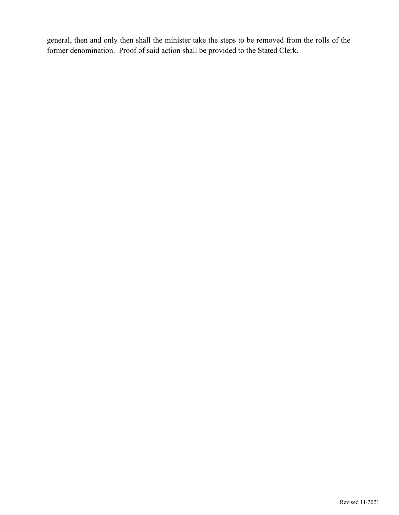general, then and only then shall the minister take the steps to be removed from the rolls of the former denomination. Proof of said action shall be provided to the Stated Clerk.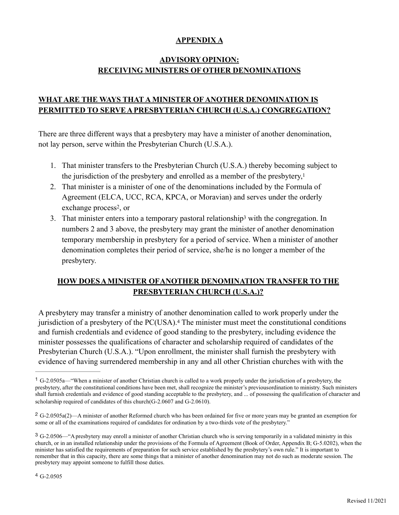### <span id="page-3-6"></span><span id="page-3-4"></span>**APPENDIX A**

# **ADVISORY OPINION: RECEIVING MINISTERS OF OTHER DENOMINATIONS**

### **WHAT ARE THE WAYS THAT A MINISTER OF ANOTHER DENOMINATION IS PERMITTED TO SERVEAPRESBYTERIAN CHURCH (U.S.A.) CONGREGATION?**

There are three different ways that a presbytery may have a minister of another denomination, not lay person, serve within the Presbyterian Church (U.S.A.).

- 1. That minister transfers to the Presbyterian Church (U.S.A.) thereby becoming subject to the jurisdiction of the presbytery and enrolled as a member of the presbytery,<sup>1</sup>
- 2. That minister is a minister of one of the denominations included by the Formula of Agreement (ELCA, UCC, RCA, KPCA, or Moravian) and serves under the orderly exchange process<sup>[2](#page-3-1)</sup>, or
- <span id="page-3-5"></span>3. That minister enters into a temporary pastoral relationship[3](#page-3-2) with the congregation. In numbers 2 and 3 above, the presbytery may grant the minister of another denomination temporary membership in presbytery for a period of service. When a minister of another denomination completes their period of service, she/he is no longer a member of the presbytery.

# <span id="page-3-7"></span>**HOW DOESAMINISTER OFANOTHER DENOMINATION TRANSFER TO THE PRESBYTERIAN CHURCH (U.S.A.)?**

A presbytery may transfer a ministry of another denomination called to work properly under the jurisdictionof a presbytery of the PC(USA).<sup>[4](#page-3-3)</sup> The minister must meet the constitutional conditions and furnish credentials and evidence of good standing to the presbytery, including evidence the minister possesses the qualifications of character and scholarship required of candidates of the Presbyterian Church (U.S.A.). "Upon enrollment, the minister shall furnish the presbytery with evidence of having surrendered membership in any and all other Christian churches with with the

<span id="page-3-0"></span>G-2.0505a—"When a minister of another Christian church is called to a work properly under the jurisdiction of a presbytery, the [1](#page-3-4) presbytery, after the constitutional conditions have been met, shall recognize the minister's previousordination to ministry. Such ministers shall furnish credentials and evidence of good standing acceptable to the presbytery, and ... of possessing the qualification of character and scholarship required of candidates of this church(G-2.0607 and G-2.0610).

<span id="page-3-1"></span>G-2.0505a(2)—A minister of another Reformed church who has been ordained for five or more years may be granted an exemption for [2](#page-3-5) some or all of the examinations required of candidates for ordination by a two-thirds vote of the presbytery."

<span id="page-3-3"></span><span id="page-3-2"></span><sup>&</sup>lt;sup>[3](#page-3-6)</sup> G-2.0506—"A presbytery may enroll a minister of another Christian church who is serving temporarily in a validated ministry in this church, or in an installed relationship under the provisions of the Formula of Agreement (Book of Order, Appendix B; G-5.0202), when the minister has satisfied the requirements of preparation for such service established by the presbytery's own rule." It is important to remember that in this capacity, there are some things that a minister of another denomination may not do such as moderate session. The presbytery may appoint someone to fulfill those duties.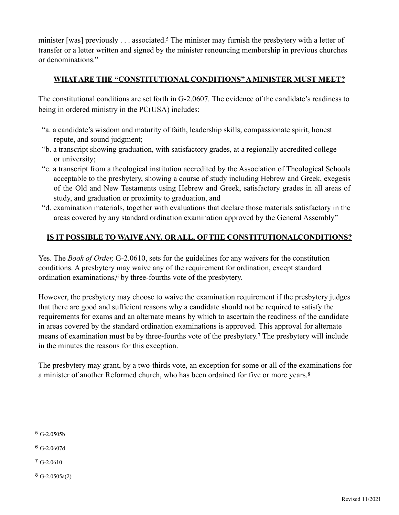minister[was] previously . . . associated.<sup>[5](#page-4-0)</sup> The minister may furnish the presbytery with a letter of transfer or a letter written and signed by the minister renouncing membership in previous churches or denominations."

### <span id="page-4-4"></span>**WHATARE THE "CONSTITUTIONALCONDITIONS"AMINISTER MUST MEET?**

The constitutional conditions are set forth in G-2.0607*.* The evidence of the candidate's readiness to being in ordered ministry in the PC(USA) includes:

- "a. a candidate's wisdom and maturity of faith, leadership skills, compassionate spirit, honest repute, and sound judgment;
- "b. a transcript showing graduation, with satisfactory grades, at a regionally accredited college or university;
- "c. a transcript from a theological institution accredited by the Association of Theological Schools acceptable to the presbytery, showing a course of study including Hebrew and Greek, exegesis of the Old and New Testaments using Hebrew and Greek, satisfactory grades in all areas of study, and graduation or proximity to graduation, and
- "d. examination materials, together with evaluations that declare those materials satisfactory in the areas covered by any standard ordination examination approved by the General Assembly"

#### **IS IT POSSIBLE TO WAIVEANY, ORALL, OFTHE CONSTITUTIONALCONDITIONS?**

<span id="page-4-5"></span>Yes. The *Book of Order,* G-2.0610, sets for the guidelines for any waivers for the constitution conditions. A presbytery may waive any of the requirement for ordination, except standard ordination examinations[,](#page-4-1)<sup>6</sup> by three-fourths vote of the presbytery.

However, the presbytery may choose to waive the examination requirement if the presbytery judges that there are good and sufficient reasons why a candidate should not be required to satisfy the requirements for exams and an alternate means by which to ascertain the readiness of the candidate in areas covered by the standard ordination examinations is approved. This approval for alternate meansof examination must be by three-fourths vote of the presbytery.<sup>[7](#page-4-2)</sup> The presbytery will include in the minutes the reasons for this exception.

<span id="page-4-7"></span><span id="page-4-6"></span>The presbytery may grant, by a two-thirds vote, an exception for some or all of the examinations for a minister of another Reformed church, who has been ordained for five or more years.<sup>8</sup>

- <span id="page-4-2"></span> $7 G-2.0610$  $7 G-2.0610$
- <span id="page-4-3"></span> $8$  G-2.0505a(2)

<span id="page-4-0"></span> $5$  G-2.0505b

<span id="page-4-1"></span> $6 G-2.0607d$  $6 G-2.0607d$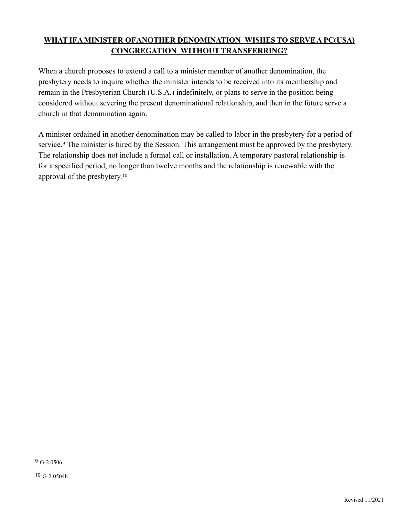# **WHAT IFAMINISTER OFANOTHER DENOMINATION WISHES TO SERVEA PC(USA) CONGREGATION WITHOUT TRANSFERRING?**

When a church proposes to extend a call to a minister member of another denomination, the presbytery needs to inquire whether the minister intends to be received into its membership and remain in the Presbyterian Church (U.S.A.) indefinitely, or plans to serve in the position being considered without severing the present denominational relationship, and then in the future serve a church in that denomination again.

<span id="page-5-3"></span><span id="page-5-2"></span>A minister ordained in another denomination may be called to labor in the presbytery for a period of service.<sup>9</sup>The minister is hired by the Session. This arrangement must be approved by the presbytery. The relationship does not include a formal call or installation. A temporary pastoral relationship is for a specified period, no longer than twelve months and the relationship is renewable with the approval of the presbytery.[10](#page-5-1)

<span id="page-5-0"></span> $9 G-2.0506$  $9 G-2.0506$ 

<span id="page-5-1"></span> $10 G-2.0504b$  $10 G-2.0504b$